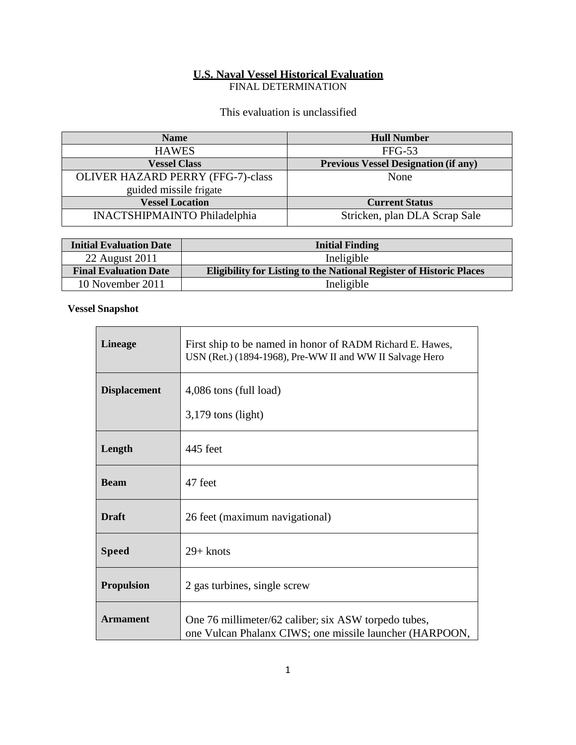# **U.S. Naval Vessel Historical Evaluation**

FINAL DETERMINATION

This evaluation is unclassified

| <b>Name</b>                              | <b>Hull Number</b>                          |
|------------------------------------------|---------------------------------------------|
| <b>HAWES</b>                             | $FFG-53$                                    |
| <b>Vessel Class</b>                      | <b>Previous Vessel Designation (if any)</b> |
| <b>OLIVER HAZARD PERRY (FFG-7)-class</b> | None                                        |
| guided missile frigate                   |                                             |
| <b>Vessel Location</b>                   | <b>Current Status</b>                       |
| <b>INACTSHIPMAINTO Philadelphia</b>      | Stricken, plan DLA Scrap Sale               |

| <b>Initial Evaluation Date</b> | <b>Initial Finding</b>                                                     |
|--------------------------------|----------------------------------------------------------------------------|
| 22 August 2011                 | Ineligible                                                                 |
| <b>Final Evaluation Date</b>   | <b>Eligibility for Listing to the National Register of Historic Places</b> |
| 10 November 2011               | Ineligible                                                                 |

### **Vessel Snapshot**

| <b>Lineage</b>      | First ship to be named in honor of RADM Richard E. Hawes,<br>USN (Ret.) (1894-1968), Pre-WW II and WW II Salvage Hero |
|---------------------|-----------------------------------------------------------------------------------------------------------------------|
| <b>Displacement</b> | 4,086 tons (full load)<br>$3,179$ tons (light)                                                                        |
| Length              | 445 feet                                                                                                              |
| <b>Beam</b>         | 47 feet                                                                                                               |
| <b>Draft</b>        | 26 feet (maximum navigational)                                                                                        |
| <b>Speed</b>        | $29 +$ knots                                                                                                          |
| <b>Propulsion</b>   | 2 gas turbines, single screw                                                                                          |
| <b>Armament</b>     | One 76 millimeter/62 caliber; six ASW torpedo tubes,<br>one Vulcan Phalanx CIWS; one missile launcher (HARPOON,       |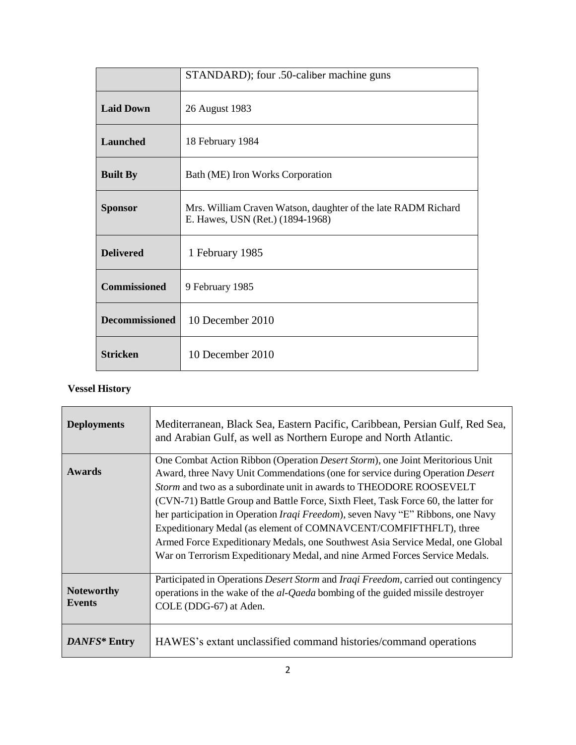|                       | STANDARD); four .50-caliber machine guns                                                          |
|-----------------------|---------------------------------------------------------------------------------------------------|
| <b>Laid Down</b>      | 26 August 1983                                                                                    |
| <b>Launched</b>       | 18 February 1984                                                                                  |
| <b>Built By</b>       | Bath (ME) Iron Works Corporation                                                                  |
| <b>Sponsor</b>        | Mrs. William Craven Watson, daughter of the late RADM Richard<br>E. Hawes, USN (Ret.) (1894-1968) |
| <b>Delivered</b>      | 1 February 1985                                                                                   |
| <b>Commissioned</b>   | 9 February 1985                                                                                   |
| <b>Decommissioned</b> | 10 December 2010                                                                                  |
| <b>Stricken</b>       | 10 December 2010                                                                                  |

## **Vessel History**

| <b>Deployments</b>                 | Mediterranean, Black Sea, Eastern Pacific, Caribbean, Persian Gulf, Red Sea,<br>and Arabian Gulf, as well as Northern Europe and North Atlantic.                                                                                                                                                                                                                                                                                                                                                                                                                                                                                                                            |
|------------------------------------|-----------------------------------------------------------------------------------------------------------------------------------------------------------------------------------------------------------------------------------------------------------------------------------------------------------------------------------------------------------------------------------------------------------------------------------------------------------------------------------------------------------------------------------------------------------------------------------------------------------------------------------------------------------------------------|
| <b>Awards</b>                      | One Combat Action Ribbon (Operation <i>Desert Storm</i> ), one Joint Meritorious Unit<br>Award, three Navy Unit Commendations (one for service during Operation Desert<br><i>Storm</i> and two as a subordinate unit in awards to THEODORE ROOSEVELT<br>(CVN-71) Battle Group and Battle Force, Sixth Fleet, Task Force 60, the latter for<br>her participation in Operation <i>Iraqi Freedom</i> ), seven Navy "E" Ribbons, one Navy<br>Expeditionary Medal (as element of COMNAVCENT/COMFIFTHFLT), three<br>Armed Force Expeditionary Medals, one Southwest Asia Service Medal, one Global<br>War on Terrorism Expeditionary Medal, and nine Armed Forces Service Medals. |
| <b>Noteworthy</b><br><b>Events</b> | Participated in Operations <i>Desert Storm</i> and <i>Iraqi Freedom</i> , carried out contingency<br>operations in the wake of the <i>al-Qaeda</i> bombing of the guided missile destroyer<br>COLE (DDG-67) at Aden.                                                                                                                                                                                                                                                                                                                                                                                                                                                        |
| DANFS* Entry                       | HAWES's extant unclassified command histories/command operations                                                                                                                                                                                                                                                                                                                                                                                                                                                                                                                                                                                                            |